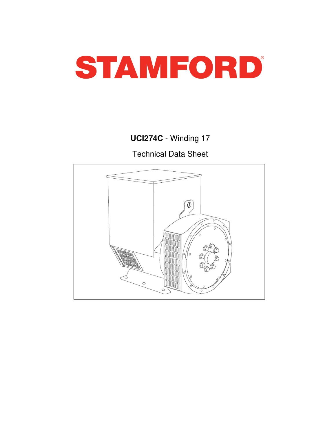

# **UCI274C** - Winding 17

Technical Data Sheet

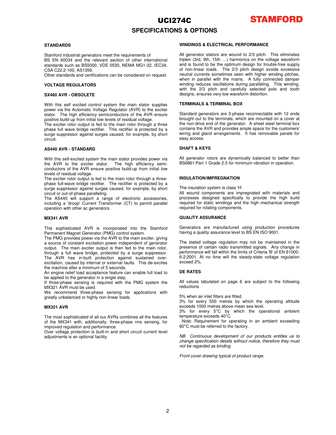# UCI274C **SPECIFICATIONS & OPTIONS**



### **STANDARDS**

Stamford industrial generators meet the requirements of BS EN 60034 and the relevant section of other international standards such as BS5000, VDE 0530, NEMA MG1-32, IEC34, CSA C22.2-100, AS1359.

Other standards and certifications can be considered on request.

## **VOLTAGE REGULATORS**

## **SX460 AVR - OBSOLETE**

With this self excited control system the main stator supplies power via the Automatic Voltage Regulator (AVR) to the exciter stator. The high efficiency semiconductors of the AVR ensure positive build-up from initial low levels of residual voltage.

The exciter rotor output is fed to the main rotor through a three phase full wave bridge rectifier. This rectifier is protected by a surge suppressor against surges caused, for example, by short circuit.

#### **AS440 AVR - STANDARD**

With this self-excited system the main stator provides power via the AVR to the exciter stator. The high efficiency semiconductors of the AVR ensure positive build-up from initial low levels of residual voltage.

The exciter rotor output is fed to the main rotor through a threephase full-wave bridge rectifier. The rectifier is protected by a surge suppressor against surges caused, for example, by short circuit or out-of-phase paralleling.

The AS440 will support a range of electronic accessories, including a 'droop' Current Transformer (CT) to permit parallel operation with other ac generators.

#### **MX341 AVR**

This sophisticated AVR is incorporated into the Stamford Permanent Magnet Generator (PMG) control system.

The PMG provides power via the AVR to the main exciter, giving a source of constant excitation power independent of generator output. The main exciter output is then fed to the main rotor, through a full wave bridge, protected by a surge suppressor. The AVR has in-built protection against sustained overexcitation, caused by internal or external faults. This de-excites the machine after a minimum of 5 seconds.

An engine relief load acceptance feature can enable full load to be applied to the generator in a single step.

If three-phase sensing is required with the PMG system the MX321 AVR must be used.

We recommend three-phase sensing for applications with greatly unbalanced or highly non-linear loads.

#### **MX321 AVR**

The most sophisticated of all our AVRs combines all the features of the MX341 with, additionally, three-phase rms sensing, for improved regulation and performance.

Over voltage protection is built-in and short circuit current level adjustments is an optional facility.

## **WINDINGS & ELECTRICAL PERFORMANCE**

All generator stators are wound to 2/3 pitch. This eliminates triplen (3rd, 9th, 15th …) harmonics on the voltage waveform and is found to be the optimum design for trouble-free supply of non-linear loads. The 2/3 pitch design avoids excessive neutral currents sometimes seen with higher winding pitches, when in parallel with the mains. A fully connected damper winding reduces oscillations during paralleling. This winding, with the 2/3 pitch and carefully selected pole and tooth designs, ensures very low waveform distortion.

### **TERMINALS & TERMINAL BOX**

Standard generators are 3-phase reconnectable with 12 ends brought out to the terminals, which are mounted on a cover at the non-drive end of the generator. A sheet steel terminal box contains the AVR and provides ample space for the customers' wiring and gland arrangements. It has removable panels for easy access.

## **SHAFT & KEYS**

All generator rotors are dynamically balanced to better than BS6861:Part 1 Grade 2.5 for minimum vibration in operation.

### **INSULATION/IMPREGNATION**

The insulation system is class 'H'.

All wound components are impregnated with materials and processes designed specifically to provide the high build required for static windings and the high mechanical strength required for rotating components.

### **QUALITY ASSURANCE**

Generators are manufactured using production procedures having a quality assurance level to BS EN ISO 9001.

The stated voltage regulation may not be maintained in the presence of certain radio transmitted signals. Any change in performance will fall within the limits of Criteria 'B' of EN 61000- 6-2:2001. At no time will the steady-state voltage regulation exceed 2%.

### **DE RATES**

All values tabulated on page 6 are subject to the following reductions

5% when air inlet filters are fitted.

3% for every 500 metres by which the operating altitude exceeds 1000 metres above mean sea level.

3% for every 5°C by which the operational ambient temperature exceeds 40°C.

Note: Requirement for operating in an ambient exceeding 60°C must be referred to the factory.

NB Continuous development of our products entitles us to change specification details without notice, therefore they must not be regarded as binding.

Front cover drawing typical of product range.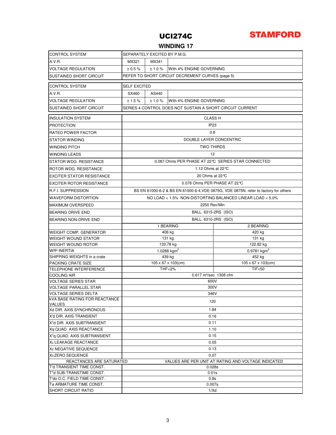

## **WINDING 17**

| <b>CONTROL SYSTEM</b>                                  | SEPARATELY EXCITED BY P.M.G.                                                         |                                     |                                 |                                           |  |  |  |
|--------------------------------------------------------|--------------------------------------------------------------------------------------|-------------------------------------|---------------------------------|-------------------------------------------|--|--|--|
| A.V.R.                                                 | MX321                                                                                | MX341                               |                                 |                                           |  |  |  |
| <b>VOLTAGE REGULATION</b>                              | ± 0.5%                                                                               | ± 1.0 %<br>With 4% ENGINE GOVERNING |                                 |                                           |  |  |  |
| <b>SUSTAINED SHORT CIRCUIT</b>                         | REFER TO SHORT CIRCUIT DECREMENT CURVES (page 5)                                     |                                     |                                 |                                           |  |  |  |
| <b>CONTROL SYSTEM</b>                                  | <b>SELF EXCITED</b>                                                                  |                                     |                                 |                                           |  |  |  |
| A.V.R.                                                 | SX460                                                                                | AS440                               |                                 |                                           |  |  |  |
| <b>VOLTAGE REGULATION</b>                              | ±1.5%                                                                                | ±1.0%                               | With 4% ENGINE GOVERNING        |                                           |  |  |  |
| SUSTAINED SHORT CIRCUIT                                | SERIES 4 CONTROL DOES NOT SUSTAIN A SHORT CIRCUIT CURRENT                            |                                     |                                 |                                           |  |  |  |
| <b>INSULATION SYSTEM</b>                               | <b>CLASS H</b>                                                                       |                                     |                                 |                                           |  |  |  |
| <b>PROTECTION</b>                                      | IP <sub>23</sub>                                                                     |                                     |                                 |                                           |  |  |  |
| <b>RATED POWER FACTOR</b>                              | 0.8                                                                                  |                                     |                                 |                                           |  |  |  |
| <b>STATOR WINDING</b>                                  | DOUBLE LAYER CONCENTRIC                                                              |                                     |                                 |                                           |  |  |  |
| <b>WINDING PITCH</b>                                   | <b>TWO THIRDS</b>                                                                    |                                     |                                 |                                           |  |  |  |
| <b>WINDING LEADS</b>                                   | 12                                                                                   |                                     |                                 |                                           |  |  |  |
| STATOR WDG. RESISTANCE                                 | 0.087 Ohms PER PHASE AT 22 °C SERIES STAR CONNECTED                                  |                                     |                                 |                                           |  |  |  |
|                                                        | 1.12 Ohms at $22^{\circ}$ C                                                          |                                     |                                 |                                           |  |  |  |
| ROTOR WDG. RESISTANCE                                  |                                                                                      |                                     |                                 |                                           |  |  |  |
| <b>EXCITER STATOR RESISTANCE</b>                       |                                                                                      |                                     | 20 Ohms at 22 °C                |                                           |  |  |  |
| <b>EXCITER ROTOR RESISTANCE</b>                        |                                                                                      |                                     | 0.078 Ohms PER PHASE AT 22℃     |                                           |  |  |  |
| <b>R.F.I. SUPPRESSION</b>                              | BS EN 61000-6-2 & BS EN 61000-6-4, VDE 0875G, VDE 0875N, refer to factory for others |                                     |                                 |                                           |  |  |  |
| <b>WAVEFORM DISTORTION</b>                             | NO LOAD < 1.5% NON-DISTORTING BALANCED LINEAR LOAD < 5.0%                            |                                     |                                 |                                           |  |  |  |
| <b>MAXIMUM OVERSPEED</b>                               | 2250 Rev/Min                                                                         |                                     |                                 |                                           |  |  |  |
| <b>BEARING DRIVE END</b>                               |                                                                                      |                                     | BALL. 6315-2RS (ISO)            |                                           |  |  |  |
| BEARING NON-DRIVE END                                  |                                                                                      |                                     | BALL. 6310-2RS (ISO)            |                                           |  |  |  |
|                                                        |                                                                                      |                                     | 1 BEARING                       | 2 BEARING                                 |  |  |  |
| <b>WEIGHT COMP. GENERATOR</b>                          |                                                                                      |                                     | 406 kg                          | 420 kg                                    |  |  |  |
| <b>WEIGHT WOUND STATOR</b>                             |                                                                                      |                                     | 131 kg                          | 131 kg                                    |  |  |  |
| <b>WEIGHT WOUND ROTOR</b>                              |                                                                                      |                                     | 133.78 kg                       | 122.82 kg                                 |  |  |  |
| <b>WR<sup>2</sup> INERTIA</b>                          |                                                                                      |                                     | 1.0288 $kgm2$                   | $0.9781$ kgm <sup>2</sup>                 |  |  |  |
| SHIPPING WEIGHTS in a crate                            |                                                                                      |                                     | 439 kg                          | 452 kg                                    |  |  |  |
| PACKING CRATE SIZE<br>TELEPHONE INTERFERENCE           |                                                                                      |                                     | $105 \times 67 \times 103$ (cm) | $105 \times 67 \times 103$ (cm)<br>TIF<50 |  |  |  |
| <b>COOLING AIR</b>                                     | <b>THF&lt;2%</b><br>0.617 m <sup>3</sup> /sec 1308 cfm                               |                                     |                                 |                                           |  |  |  |
| <b>VOLTAGE SERIES STAR</b>                             | 600V                                                                                 |                                     |                                 |                                           |  |  |  |
| <b>VOLTAGE PARALLEL STAR</b>                           | 300V                                                                                 |                                     |                                 |                                           |  |  |  |
| <b>VOLTAGE SERIES DELTA</b>                            | 346V                                                                                 |                                     |                                 |                                           |  |  |  |
| <b>kVA BASE RATING FOR REACTANCE</b><br><b>VALUES</b>  | 120                                                                                  |                                     |                                 |                                           |  |  |  |
| Xd DIR. AXIS SYNCHRONOUS                               | 1.84                                                                                 |                                     |                                 |                                           |  |  |  |
| X'd DIR. AXIS TRANSIENT                                | 0.16                                                                                 |                                     |                                 |                                           |  |  |  |
| X"d DIR. AXIS SUBTRANSIENT                             | 0.11                                                                                 |                                     |                                 |                                           |  |  |  |
| Xq QUAD. AXIS REACTANCE                                | 1.10                                                                                 |                                     |                                 |                                           |  |  |  |
| X"a QUAD, AXIS SUBTRANSIENT                            | 0.15                                                                                 |                                     |                                 |                                           |  |  |  |
| XL LEAKAGE REACTANCE                                   | 0.05                                                                                 |                                     |                                 |                                           |  |  |  |
| X <sub>2</sub> NEGATIVE SEQUENCE                       | 0.13                                                                                 |                                     |                                 |                                           |  |  |  |
| X <sub>0</sub> ZERO SEQUENCE                           | 0.07                                                                                 |                                     |                                 |                                           |  |  |  |
|                                                        | REACTANCES ARE SATURATED<br>VALUES ARE PER UNIT AT RATING AND VOLTAGE INDICATED      |                                     |                                 |                                           |  |  |  |
| T'd TRANSIENT TIME CONST.                              | 0.028s                                                                               |                                     |                                 |                                           |  |  |  |
| T"d SUB-TRANSTIME CONST.                               | 0.01s<br>0.8s                                                                        |                                     |                                 |                                           |  |  |  |
| T'do O.C. FIELD TIME CONST.<br>Ta ARMATURE TIME CONST. | 0.007s                                                                               |                                     |                                 |                                           |  |  |  |
| SHORT CIRCUIT RATIO                                    | 1/Xd                                                                                 |                                     |                                 |                                           |  |  |  |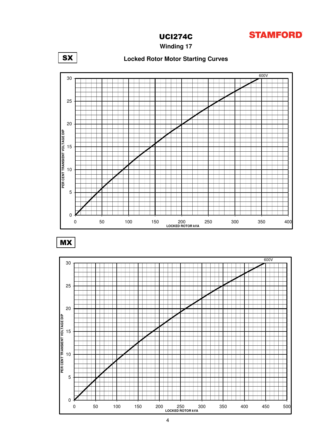

**Winding 17**



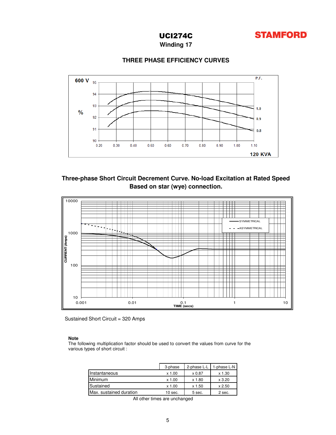

**Winding 17**

## **THREE PHASE EFFICIENCY CURVES**



## **Based on star (wye) connection. Three-phase Short Circuit Decrement Curve. No-load Excitation at Rated Speed**



Sustained Short Circuit = 320 Amps

## **Note**

The following multiplication factor should be used to convert the values from curve for the various types of short circuit :

|                         | 3-phase | 2-phase L-L | 1-phase L-N   |
|-------------------------|---------|-------------|---------------|
| Instantaneous           | x 1.00  | x 0.87      | $x$ 1.30      |
| Minimum                 | x 1.00  | x 1.80      | $\times$ 3.20 |
| Sustained               | x 1.00  | x 1.50      | $\times 2.50$ |
| Max. sustained duration | 10 sec. | 5 sec.      | 2 sec.        |

All other times are unchanged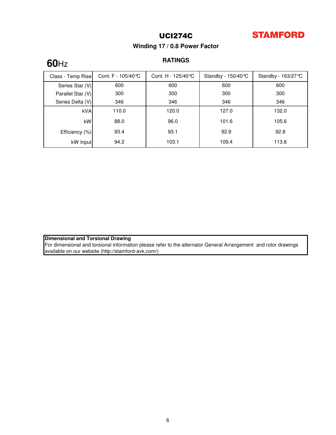

## **Winding 17 / 0.8 Power Factor**

# **60**Hz

## **RATINGS**

| Class - Temp Rise | Cont. F - 105/40℃ | Cont. H - 125/40 ℃ | Standby - $150/40^{\circ}$ C | Standby - $163/27^{\circ}$ C |
|-------------------|-------------------|--------------------|------------------------------|------------------------------|
| Series Star (V)   | 600               | 600                | 600                          | 600                          |
| Parallel Star (V) | 300               | 300                | 300                          | 300                          |
| Series Delta (V)  | 346               | 346                | 346                          | 346                          |
| <b>kVA</b>        | 110.0             | 120.0              | 127.0                        | 132.0                        |
| kW                | 88.0              | 96.0               | 101.6                        | 105.6                        |
| Efficiency (%)    | 93.4              | 93.1               | 92.9                         | 92.8                         |
| kW Input          | 94.2              | 103.1              | 109.4                        | 113.8                        |

## **Dimensional and Torsional Drawing**

For dimensional and torsional information please refer to the alternator General Arrangement and rotor drawings available on our website (http://stamford-avk.com/)